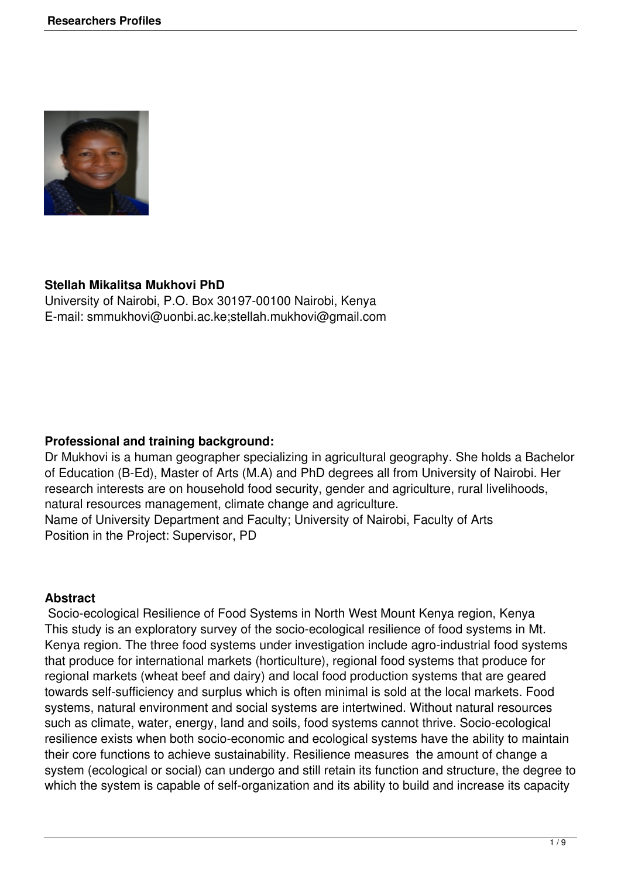

#### **Stellah Mikalitsa Mukhovi PhD**

University of Nairobi, P.O. Box 30197-00100 Nairobi, Kenya E-mail: smmukhovi@uonbi.ac.ke;stellah.mukhovi@gmail.com

#### **Professional and training background:**

Dr Mukhovi is a human geographer specializing in agricultural geography. She holds a Bachelor of Education (B-Ed), Master of Arts (M.A) and PhD degrees all from University of Nairobi. Her research interests are on household food security, gender and agriculture, rural livelihoods, natural resources management, climate change and agriculture. Name of University Department and Faculty; University of Nairobi, Faculty of Arts Position in the Project: Supervisor, PD

#### **Abstract**

 Socio-ecological Resilience of Food Systems in North West Mount Kenya region, Kenya This study is an exploratory survey of the socio-ecological resilience of food systems in Mt. Kenya region. The three food systems under investigation include agro-industrial food systems that produce for international markets (horticulture), regional food systems that produce for regional markets (wheat beef and dairy) and local food production systems that are geared towards self-sufficiency and surplus which is often minimal is sold at the local markets. Food systems, natural environment and social systems are intertwined. Without natural resources such as climate, water, energy, land and soils, food systems cannot thrive. Socio-ecological resilience exists when both socio-economic and ecological systems have the ability to maintain their core functions to achieve sustainability. Resilience measures the amount of change a system (ecological or social) can undergo and still retain its function and structure, the degree to which the system is capable of self-organization and its ability to build and increase its capacity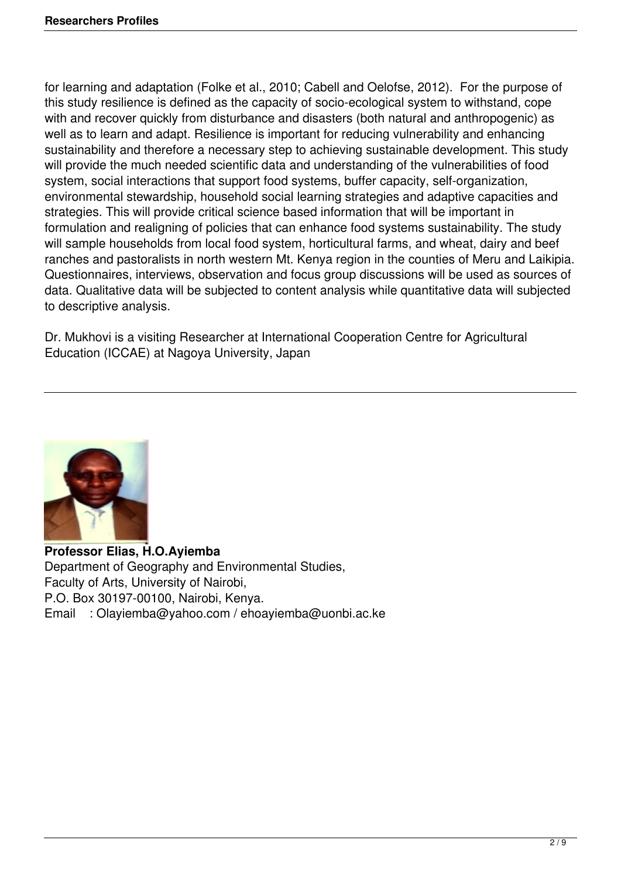for learning and adaptation (Folke et al., 2010; Cabell and Oelofse, 2012). For the purpose of this study resilience is defined as the capacity of socio-ecological system to withstand, cope with and recover quickly from disturbance and disasters (both natural and anthropogenic) as well as to learn and adapt. Resilience is important for reducing vulnerability and enhancing sustainability and therefore a necessary step to achieving sustainable development. This study will provide the much needed scientific data and understanding of the vulnerabilities of food system, social interactions that support food systems, buffer capacity, self-organization, environmental stewardship, household social learning strategies and adaptive capacities and strategies. This will provide critical science based information that will be important in formulation and realigning of policies that can enhance food systems sustainability. The study will sample households from local food system, horticultural farms, and wheat, dairy and beef ranches and pastoralists in north western Mt. Kenya region in the counties of Meru and Laikipia. Questionnaires, interviews, observation and focus group discussions will be used as sources of data. Qualitative data will be subjected to content analysis while quantitative data will subjected to descriptive analysis.

Dr. Mukhovi is a visiting Researcher at International Cooperation Centre for Agricultural Education (ICCAE) at Nagoya University, Japan



**Professor Elias, H.O.Ayiemba** Department of Geography and Environmental Studies, Faculty of Arts, University of Nairobi, P.O. Box 30197-00100, Nairobi, Kenya. Email : Olayiemba@yahoo.com / ehoayiemba@uonbi.ac.ke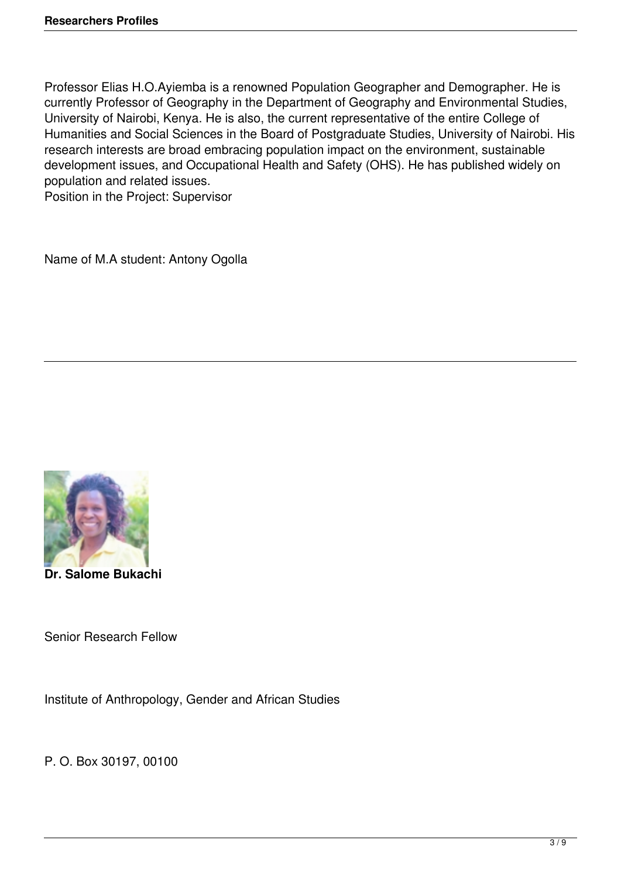Professor Elias H.O.Ayiemba is a renowned Population Geographer and Demographer. He is currently Professor of Geography in the Department of Geography and Environmental Studies, University of Nairobi, Kenya. He is also, the current representative of the entire College of Humanities and Social Sciences in the Board of Postgraduate Studies, University of Nairobi. His research interests are broad embracing population impact on the environment, sustainable development issues, and Occupational Health and Safety (OHS). He has published widely on population and related issues.

Position in the Project: Supervisor

Name of M.A student: Antony Ogolla



**Dr. Salome Bukachi** 

Senior Research Fellow

Institute of Anthropology, Gender and African Studies

P. O. Box 30197, 00100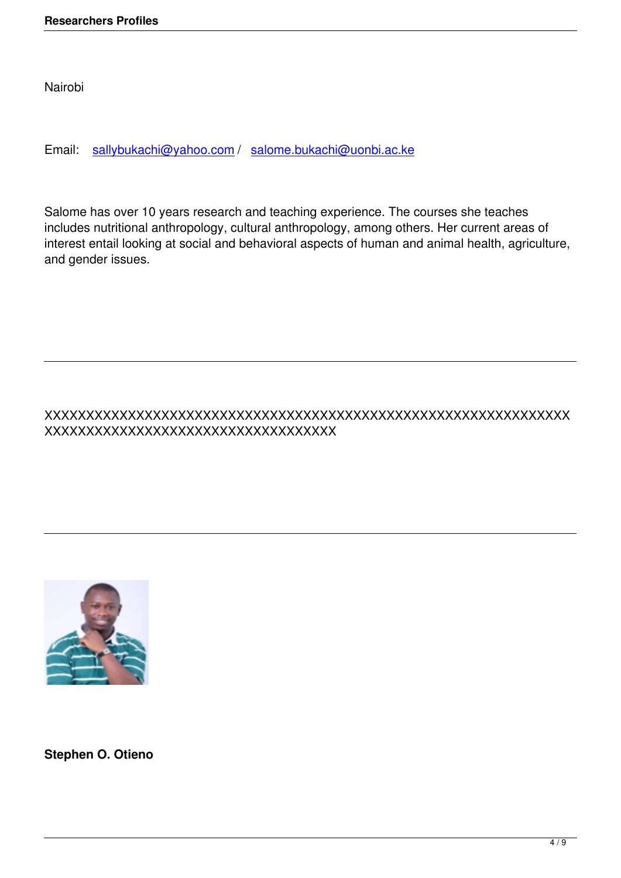Email: sallybukachi@yahoo.com / salome.bukachi@uonbi.ac.ke

Salome [has over 10 years researc](mailto:sallybukachi@yahoo.com)h [and teaching experience. The c](mailto:salome.bukachi@uonbi.ac.ke)ourses she teaches includes nutritional anthropology, cultural anthropology, among others. Her current areas of interest entail looking at social and behavioral aspects of human and animal health, agriculture, and gender issues.

# XXXXXXXXXXXXXXXXXXXXXXXXXXXXXXXXXXXXXXXXXXXXXXXXXXXXXXXXXXXXXXX XXXXXXXXXXXXXXXXXXXXXXXXXXXXXXXXXXX



**Stephen O. Otieno**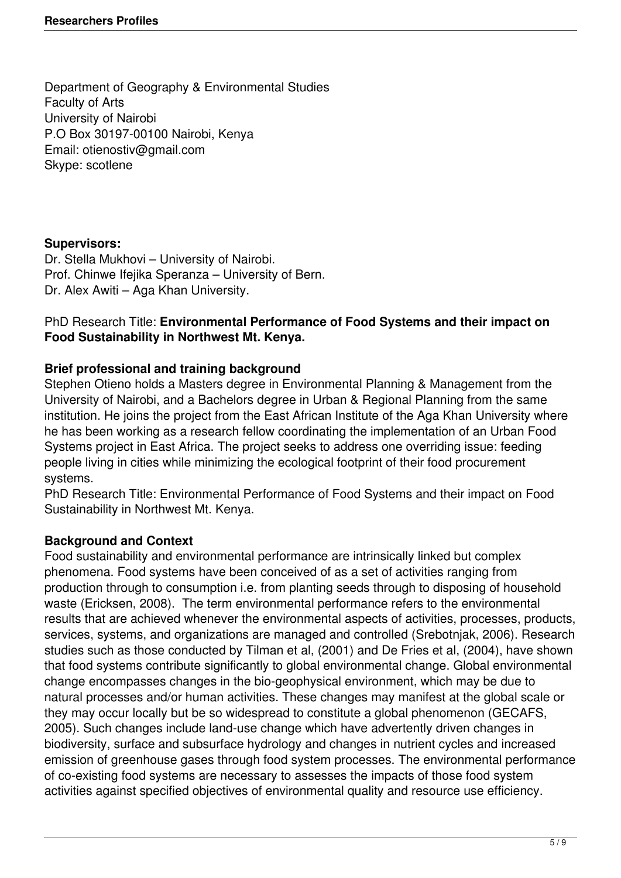Department of Geography & Environmental Studies Faculty of Arts University of Nairobi P.O Box 30197-00100 Nairobi, Kenya Email: otienostiv@gmail.com Skype: scotlene

# **Supervisors:**

Dr. Stella Mukhovi – University of Nairobi. Prof. Chinwe Ifejika Speranza – University of Bern. Dr. Alex Awiti – Aga Khan University.

# PhD Research Title: **Environmental Performance of Food Systems and their impact on Food Sustainability in Northwest Mt. Kenya.**

# **Brief professional and training background**

Stephen Otieno holds a Masters degree in Environmental Planning & Management from the University of Nairobi, and a Bachelors degree in Urban & Regional Planning from the same institution. He joins the project from the East African Institute of the Aga Khan University where he has been working as a research fellow coordinating the implementation of an Urban Food Systems project in East Africa. The project seeks to address one overriding issue: feeding people living in cities while minimizing the ecological footprint of their food procurement systems.

PhD Research Title: Environmental Performance of Food Systems and their impact on Food Sustainability in Northwest Mt. Kenya.

# **Background and Context**

Food sustainability and environmental performance are intrinsically linked but complex phenomena. Food systems have been conceived of as a set of activities ranging from production through to consumption i.e. from planting seeds through to disposing of household waste (Ericksen, 2008). The term environmental performance refers to the environmental results that are achieved whenever the environmental aspects of activities, processes, products, services, systems, and organizations are managed and controlled (Srebotnjak, 2006). Research studies such as those conducted by Tilman et al, (2001) and De Fries et al, (2004), have shown that food systems contribute significantly to global environmental change. Global environmental change encompasses changes in the bio-geophysical environment, which may be due to natural processes and/or human activities. These changes may manifest at the global scale or they may occur locally but be so widespread to constitute a global phenomenon (GECAFS, 2005). Such changes include land-use change which have advertently driven changes in biodiversity, surface and subsurface hydrology and changes in nutrient cycles and increased emission of greenhouse gases through food system processes. The environmental performance of co-existing food systems are necessary to assesses the impacts of those food system activities against specified objectives of environmental quality and resource use efficiency.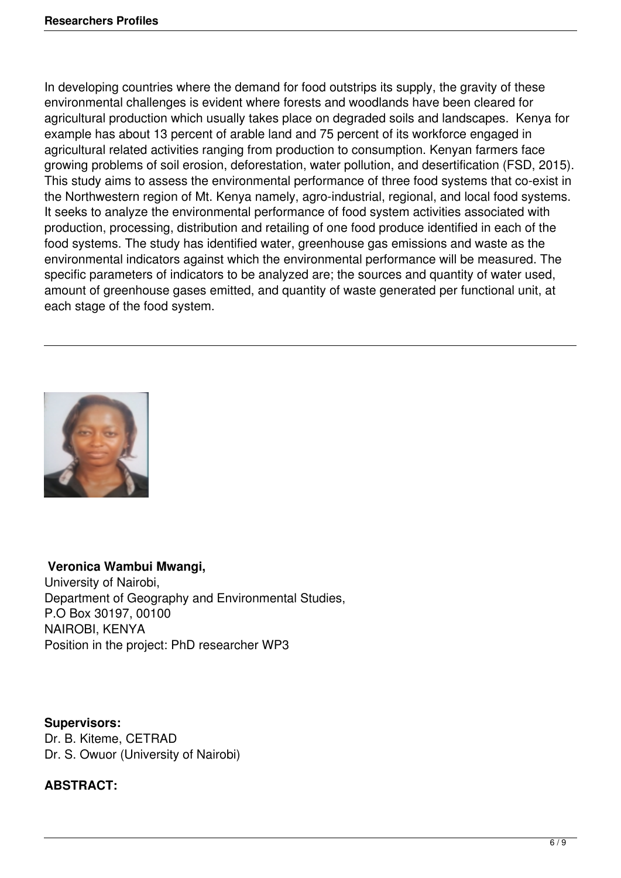In developing countries where the demand for food outstrips its supply, the gravity of these environmental challenges is evident where forests and woodlands have been cleared for agricultural production which usually takes place on degraded soils and landscapes. Kenya for example has about 13 percent of arable land and 75 percent of its workforce engaged in agricultural related activities ranging from production to consumption. Kenyan farmers face growing problems of soil erosion, deforestation, water pollution, and desertification (FSD, 2015). This study aims to assess the environmental performance of three food systems that co-exist in the Northwestern region of Mt. Kenya namely, agro-industrial, regional, and local food systems. It seeks to analyze the environmental performance of food system activities associated with production, processing, distribution and retailing of one food produce identified in each of the food systems. The study has identified water, greenhouse gas emissions and waste as the environmental indicators against which the environmental performance will be measured. The specific parameters of indicators to be analyzed are; the sources and quantity of water used, amount of greenhouse gases emitted, and quantity of waste generated per functional unit, at each stage of the food system.



# **Veronica Wambui Mwangi,**

University of Nairobi, Department of Geography and Environmental Studies, P.O Box 30197, 00100 NAIROBI, KENYA Position in the project: PhD researcher WP3

**Supervisors:**  Dr. B. Kiteme, CETRAD Dr. S. Owuor (University of Nairobi)

# **ABSTRACT:**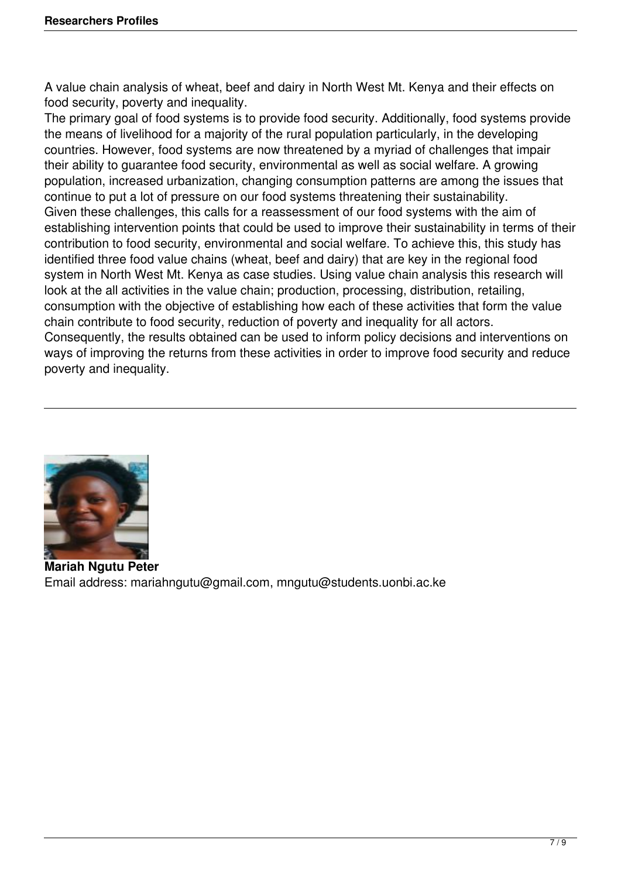A value chain analysis of wheat, beef and dairy in North West Mt. Kenya and their effects on food security, poverty and inequality.

The primary goal of food systems is to provide food security. Additionally, food systems provide the means of livelihood for a majority of the rural population particularly, in the developing countries. However, food systems are now threatened by a myriad of challenges that impair their ability to guarantee food security, environmental as well as social welfare. A growing population, increased urbanization, changing consumption patterns are among the issues that continue to put a lot of pressure on our food systems threatening their sustainability. Given these challenges, this calls for a reassessment of our food systems with the aim of establishing intervention points that could be used to improve their sustainability in terms of their contribution to food security, environmental and social welfare. To achieve this, this study has identified three food value chains (wheat, beef and dairy) that are key in the regional food system in North West Mt. Kenya as case studies. Using value chain analysis this research will look at the all activities in the value chain; production, processing, distribution, retailing, consumption with the objective of establishing how each of these activities that form the value chain contribute to food security, reduction of poverty and inequality for all actors. Consequently, the results obtained can be used to inform policy decisions and interventions on ways of improving the returns from these activities in order to improve food security and reduce poverty and inequality.



**Mariah Ngutu Peter** Email address: mariahngutu@gmail.com, mngutu@students.uonbi.ac.ke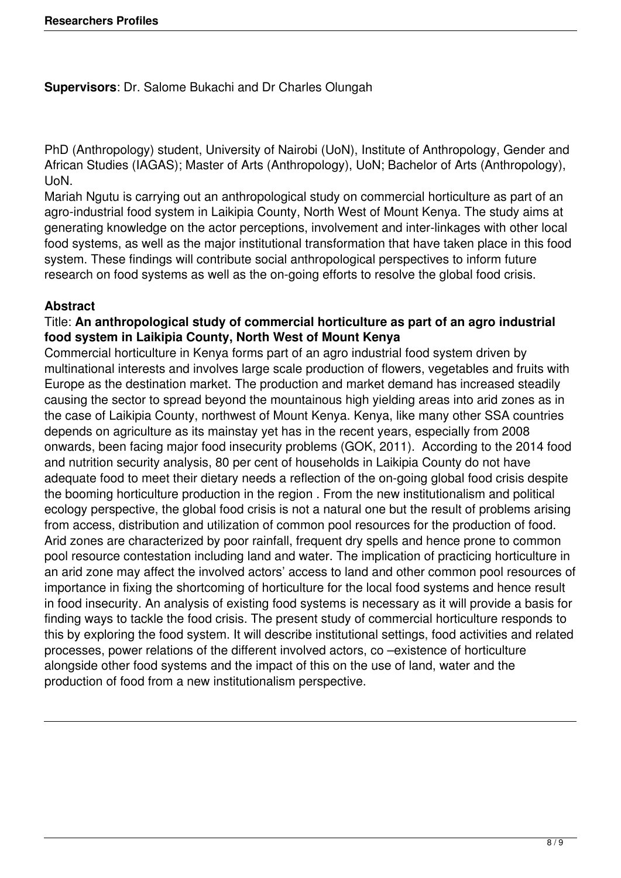**Supervisors**: Dr. Salome Bukachi and Dr Charles Olungah

PhD (Anthropology) student, University of Nairobi (UoN), Institute of Anthropology, Gender and African Studies (IAGAS); Master of Arts (Anthropology), UoN; Bachelor of Arts (Anthropology), UoN.

Mariah Ngutu is carrying out an anthropological study on commercial horticulture as part of an agro-industrial food system in Laikipia County, North West of Mount Kenya. The study aims at generating knowledge on the actor perceptions, involvement and inter-linkages with other local food systems, as well as the major institutional transformation that have taken place in this food system. These findings will contribute social anthropological perspectives to inform future research on food systems as well as the on-going efforts to resolve the global food crisis.

# **Abstract**

#### Title: **An anthropological study of commercial horticulture as part of an agro industrial food system in Laikipia County, North West of Mount Kenya**

Commercial horticulture in Kenya forms part of an agro industrial food system driven by multinational interests and involves large scale production of flowers, vegetables and fruits with Europe as the destination market. The production and market demand has increased steadily causing the sector to spread beyond the mountainous high yielding areas into arid zones as in the case of Laikipia County, northwest of Mount Kenya. Kenya, like many other SSA countries depends on agriculture as its mainstay yet has in the recent years, especially from 2008 onwards, been facing major food insecurity problems (GOK, 2011). According to the 2014 food and nutrition security analysis, 80 per cent of households in Laikipia County do not have adequate food to meet their dietary needs a reflection of the on-going global food crisis despite the booming horticulture production in the region . From the new institutionalism and political ecology perspective, the global food crisis is not a natural one but the result of problems arising from access, distribution and utilization of common pool resources for the production of food. Arid zones are characterized by poor rainfall, frequent dry spells and hence prone to common pool resource contestation including land and water. The implication of practicing horticulture in an arid zone may affect the involved actors' access to land and other common pool resources of importance in fixing the shortcoming of horticulture for the local food systems and hence result in food insecurity. An analysis of existing food systems is necessary as it will provide a basis for finding ways to tackle the food crisis. The present study of commercial horticulture responds to this by exploring the food system. It will describe institutional settings, food activities and related processes, power relations of the different involved actors, co –existence of horticulture alongside other food systems and the impact of this on the use of land, water and the production of food from a new institutionalism perspective.